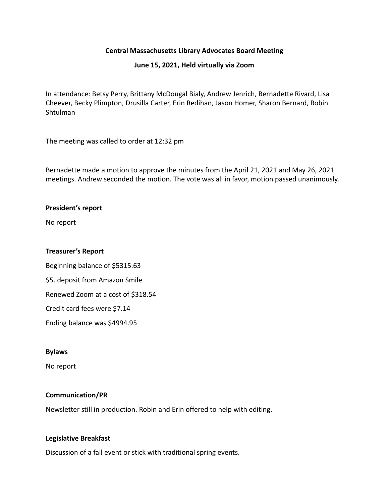# **Central Massachusetts Library Advocates Board Meeting**

# **June 15, 2021, Held virtually via Zoom**

In attendance: Betsy Perry, Brittany McDougal Bialy, Andrew Jenrich, Bernadette Rivard, Lisa Cheever, Becky Plimpton, Drusilla Carter, Erin Redihan, Jason Homer, Sharon Bernard, Robin Shtulman

The meeting was called to order at 12:32 pm

Bernadette made a motion to approve the minutes from the April 21, 2021 and May 26, 2021 meetings. Andrew seconded the motion. The vote was all in favor, motion passed unanimously.

# **President's report**

No report

### **Treasurer's Report**

Beginning balance of \$5315.63 \$5. deposit from Amazon Smile Renewed Zoom at a cost of \$318.54 Credit card fees were \$7.14 Ending balance was \$4994.95

#### **Bylaws**

No report

# **Communication/PR**

Newsletter still in production. Robin and Erin offered to help with editing.

# **Legislative Breakfast**

Discussion of a fall event or stick with traditional spring events.